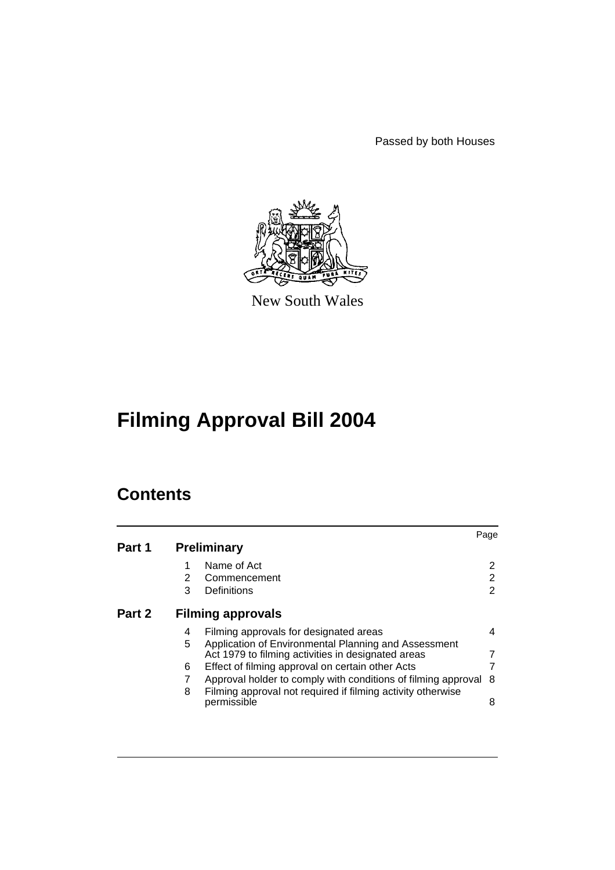Passed by both Houses



New South Wales

# **Filming Approval Bill 2004**

# **Contents**

| Part 1 | Page<br><b>Preliminary</b> |                                                                            |    |
|--------|----------------------------|----------------------------------------------------------------------------|----|
|        | 1                          | Name of Act                                                                | 2  |
|        | 2                          | Commencement                                                               | 2  |
|        | 3                          | Definitions                                                                | 2  |
| Part 2 | <b>Filming approvals</b>   |                                                                            |    |
|        | 4                          | Filming approvals for designated areas                                     |    |
|        | 5                          | Application of Environmental Planning and Assessment                       |    |
|        |                            | Act 1979 to filming activities in designated areas                         |    |
|        | 6                          | Effect of filming approval on certain other Acts                           |    |
|        |                            | Approval holder to comply with conditions of filming approval              | -8 |
|        | 8                          | Filming approval not required if filming activity otherwise<br>permissible | 8  |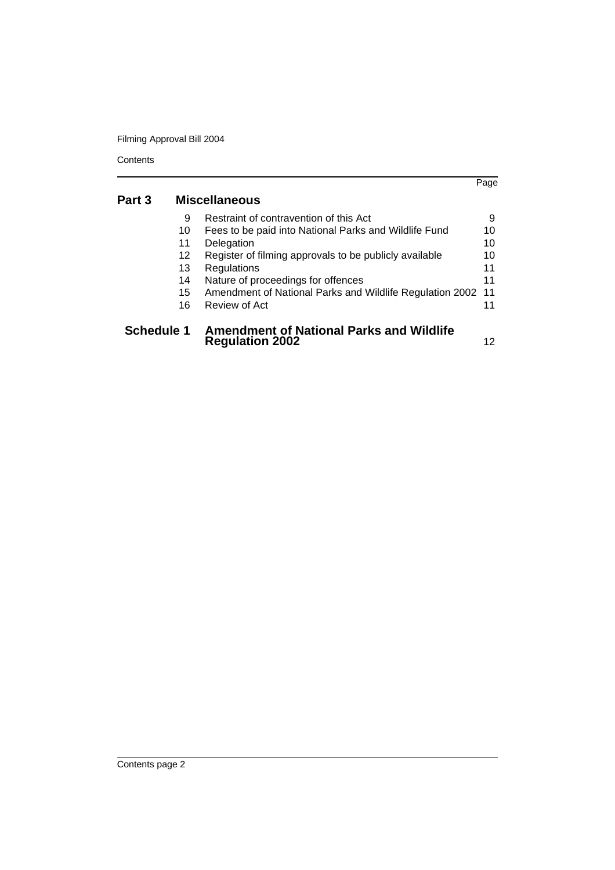Filming Approval Bill 2004

|                   |                      |                                                                           | Page |
|-------------------|----------------------|---------------------------------------------------------------------------|------|
| Part 3            | <b>Miscellaneous</b> |                                                                           |      |
|                   | 9                    | Restraint of contravention of this Act                                    | 9    |
|                   | 10                   | Fees to be paid into National Parks and Wildlife Fund                     | 10   |
|                   | 11                   | Delegation                                                                | 10   |
|                   | 12                   | Register of filming approvals to be publicly available                    | 10   |
|                   | 13                   | Regulations                                                               | 11   |
|                   | 14                   | Nature of proceedings for offences                                        | 11   |
|                   | 15                   | Amendment of National Parks and Wildlife Regulation 2002                  | 11   |
|                   | 16                   | Review of Act                                                             | 11   |
| <b>Schedule 1</b> |                      | <b>Amendment of National Parks and Wildlife</b><br><b>Regulation 2002</b> |      |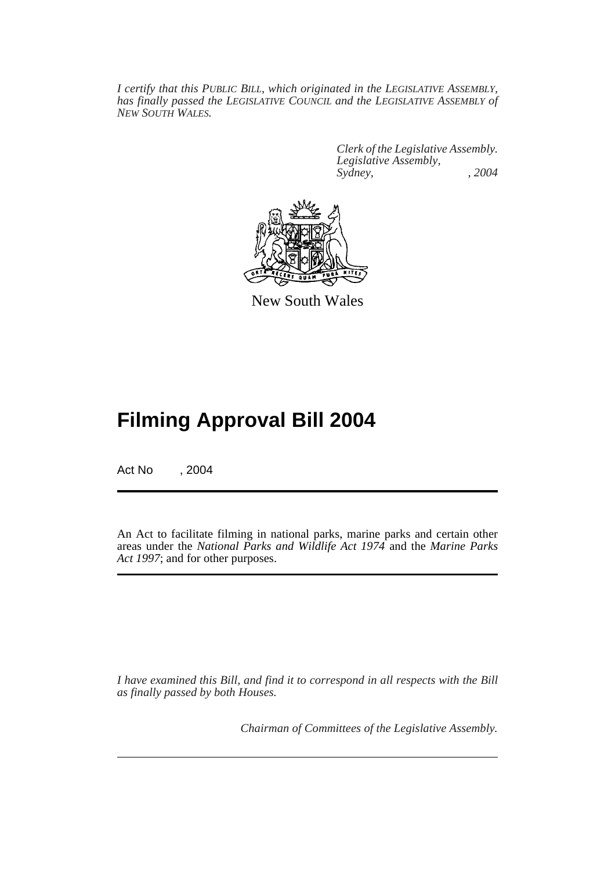*I certify that this PUBLIC BILL, which originated in the LEGISLATIVE ASSEMBLY, has finally passed the LEGISLATIVE COUNCIL and the LEGISLATIVE ASSEMBLY of NEW SOUTH WALES.*

> *Clerk of the Legislative Assembly. Legislative Assembly, Sydney, , 2004*



New South Wales

# **Filming Approval Bill 2004**

Act No , 2004

An Act to facilitate filming in national parks, marine parks and certain other areas under the *National Parks and Wildlife Act 1974* and the *Marine Parks Act 1997*; and for other purposes.

*I have examined this Bill, and find it to correspond in all respects with the Bill as finally passed by both Houses.*

*Chairman of Committees of the Legislative Assembly.*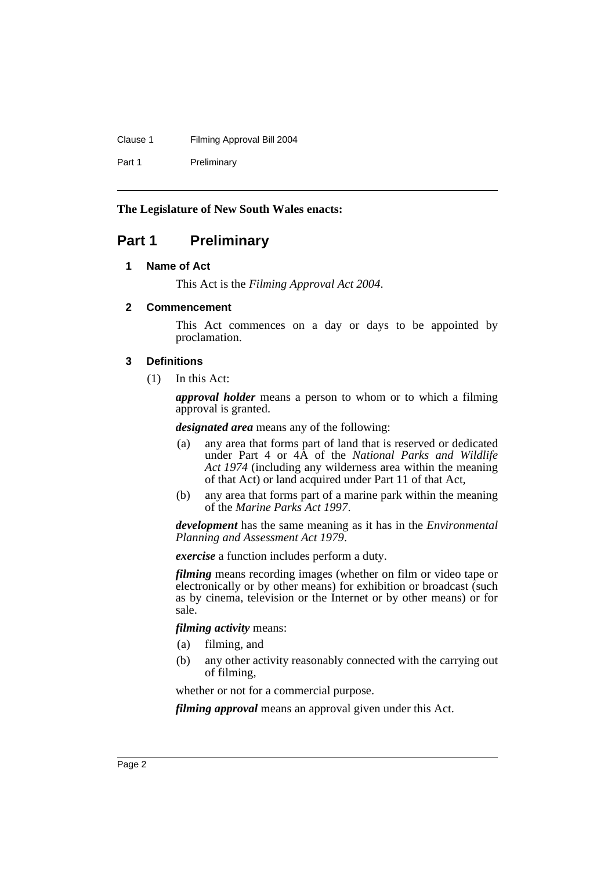#### Clause 1 Filming Approval Bill 2004

Part 1 Preliminary

# **The Legislature of New South Wales enacts:**

# <span id="page-3-1"></span><span id="page-3-0"></span>**Part 1 Preliminary**

## **1 Name of Act**

This Act is the *Filming Approval Act 2004*.

# <span id="page-3-2"></span>**2 Commencement**

This Act commences on a day or days to be appointed by proclamation.

# <span id="page-3-3"></span>**3 Definitions**

(1) In this Act:

*approval holder* means a person to whom or to which a filming approval is granted.

*designated area* means any of the following:

- (a) any area that forms part of land that is reserved or dedicated under Part 4 or 4A of the *National Parks and Wildlife Act 1974* (including any wilderness area within the meaning of that Act) or land acquired under Part 11 of that Act,
- (b) any area that forms part of a marine park within the meaning of the *Marine Parks Act 1997*.

*development* has the same meaning as it has in the *Environmental Planning and Assessment Act 1979*.

*exercise* a function includes perform a duty.

*filming* means recording images (whether on film or video tape or electronically or by other means) for exhibition or broadcast (such as by cinema, television or the Internet or by other means) or for sale.

*filming activity* means:

- (a) filming, and
- (b) any other activity reasonably connected with the carrying out of filming,

whether or not for a commercial purpose.

*filming approval* means an approval given under this Act.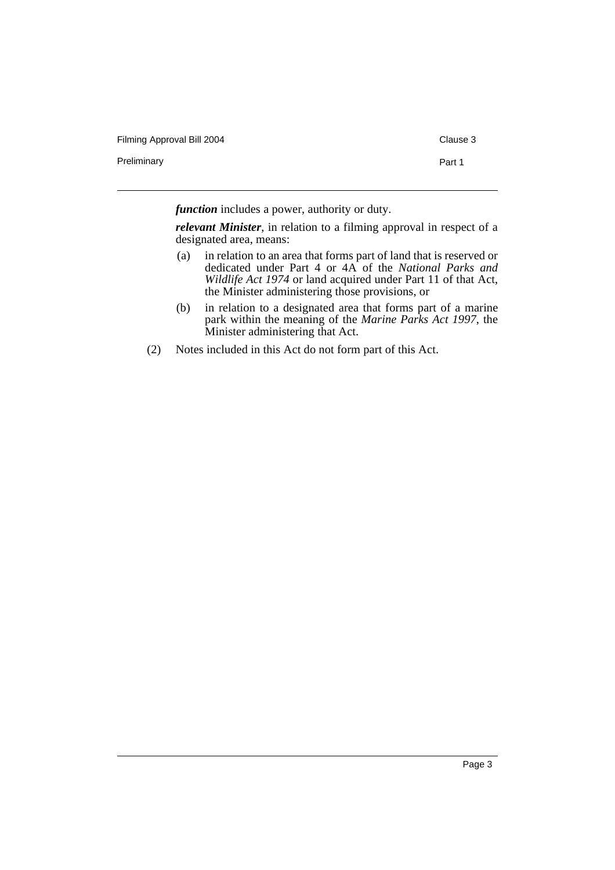Preliminary **Part 1** 

*function* includes a power, authority or duty.

*relevant Minister*, in relation to a filming approval in respect of a designated area, means:

- (a) in relation to an area that forms part of land that is reserved or dedicated under Part 4 or 4A of the *National Parks and Wildlife Act 1974* or land acquired under Part 11 of that Act, the Minister administering those provisions, or
- (b) in relation to a designated area that forms part of a marine park within the meaning of the *Marine Parks Act 1997*, the Minister administering that Act.
- (2) Notes included in this Act do not form part of this Act.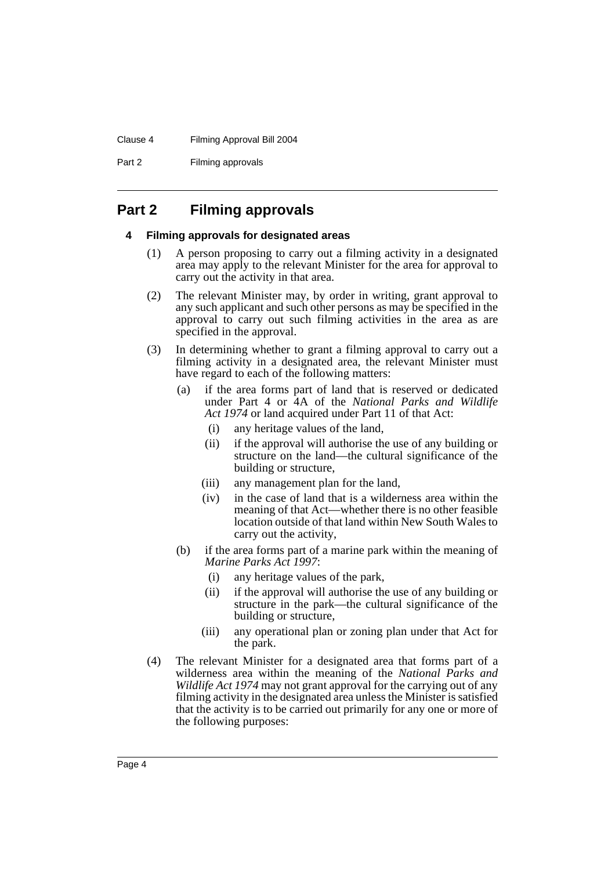#### Clause 4 Filming Approval Bill 2004

Part 2 Filming approvals

# <span id="page-5-1"></span><span id="page-5-0"></span>**Part 2 Filming approvals**

## **4 Filming approvals for designated areas**

- (1) A person proposing to carry out a filming activity in a designated area may apply to the relevant Minister for the area for approval to carry out the activity in that area.
- (2) The relevant Minister may, by order in writing, grant approval to any such applicant and such other persons as may be specified in the approval to carry out such filming activities in the area as are specified in the approval.
- (3) In determining whether to grant a filming approval to carry out a filming activity in a designated area, the relevant Minister must have regard to each of the following matters:
	- (a) if the area forms part of land that is reserved or dedicated under Part 4 or 4A of the *National Parks and Wildlife Act 1974* or land acquired under Part 11 of that Act:
		- (i) any heritage values of the land,
		- (ii) if the approval will authorise the use of any building or structure on the land—the cultural significance of the building or structure,
		- (iii) any management plan for the land,
		- (iv) in the case of land that is a wilderness area within the meaning of that Act—whether there is no other feasible location outside of that land within New South Wales to carry out the activity,
	- (b) if the area forms part of a marine park within the meaning of *Marine Parks Act 1997*:
		- (i) any heritage values of the park,
		- (ii) if the approval will authorise the use of any building or structure in the park—the cultural significance of the building or structure,
		- (iii) any operational plan or zoning plan under that Act for the park.
- (4) The relevant Minister for a designated area that forms part of a wilderness area within the meaning of the *National Parks and Wildlife Act 1974* may not grant approval for the carrying out of any filming activity in the designated area unless the Minister is satisfied that the activity is to be carried out primarily for any one or more of the following purposes: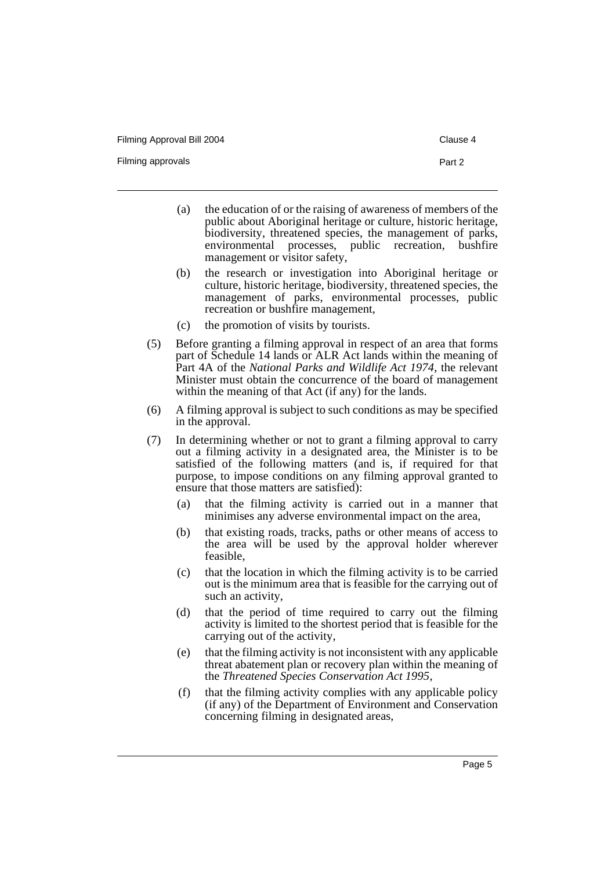Filming approvals **Part 2** 

- 
- (a) the education of or the raising of awareness of members of the public about Aboriginal heritage or culture, historic heritage, biodiversity, threatened species, the management of parks, environmental processes, public recreation, bushfire management or visitor safety,
- (b) the research or investigation into Aboriginal heritage or culture, historic heritage, biodiversity, threatened species, the management of parks, environmental processes, public recreation or bushfire management,
- (c) the promotion of visits by tourists.
- (5) Before granting a filming approval in respect of an area that forms part of Schedule 14 lands or ALR Act lands within the meaning of Part 4A of the *National Parks and Wildlife Act 1974*, the relevant Minister must obtain the concurrence of the board of management within the meaning of that Act (if any) for the lands.
- (6) A filming approval is subject to such conditions as may be specified in the approval.
- (7) In determining whether or not to grant a filming approval to carry out a filming activity in a designated area, the Minister is to be satisfied of the following matters (and is, if required for that purpose, to impose conditions on any filming approval granted to ensure that those matters are satisfied):
	- (a) that the filming activity is carried out in a manner that minimises any adverse environmental impact on the area,
	- (b) that existing roads, tracks, paths or other means of access to the area will be used by the approval holder wherever feasible,
	- (c) that the location in which the filming activity is to be carried out is the minimum area that is feasible for the carrying out of such an activity,
	- (d) that the period of time required to carry out the filming activity is limited to the shortest period that is feasible for the carrying out of the activity,
	- (e) that the filming activity is not inconsistent with any applicable threat abatement plan or recovery plan within the meaning of the *Threatened Species Conservation Act 1995*,
	- (f) that the filming activity complies with any applicable policy (if any) of the Department of Environment and Conservation concerning filming in designated areas,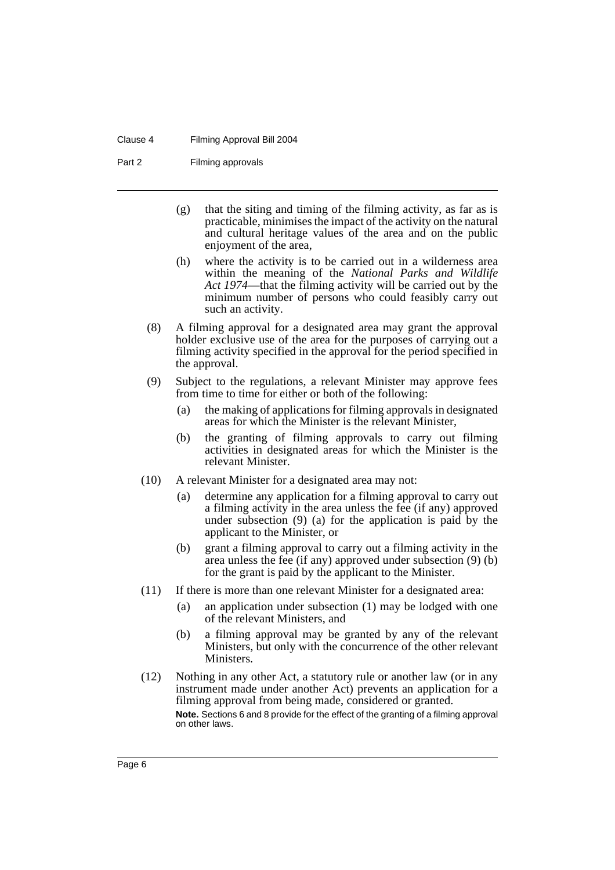#### Clause 4 Filming Approval Bill 2004

Part 2 Filming approvals

- (g) that the siting and timing of the filming activity, as far as is practicable, minimises the impact of the activity on the natural and cultural heritage values of the area and on the public enjoyment of the area,
- (h) where the activity is to be carried out in a wilderness area within the meaning of the *National Parks and Wildlife Act 1974*—that the filming activity will be carried out by the minimum number of persons who could feasibly carry out such an activity.
- (8) A filming approval for a designated area may grant the approval holder exclusive use of the area for the purposes of carrying out a filming activity specified in the approval for the period specified in the approval.
- (9) Subject to the regulations, a relevant Minister may approve fees from time to time for either or both of the following:
	- (a) the making of applications for filming approvals in designated areas for which the Minister is the relevant Minister,
	- (b) the granting of filming approvals to carry out filming activities in designated areas for which the Minister is the relevant Minister.
- (10) A relevant Minister for a designated area may not:
	- (a) determine any application for a filming approval to carry out a filming activity in the area unless the fee (if any) approved under subsection (9) (a) for the application is paid by the applicant to the Minister, or
	- (b) grant a filming approval to carry out a filming activity in the area unless the fee (if any) approved under subsection (9) (b) for the grant is paid by the applicant to the Minister.
- (11) If there is more than one relevant Minister for a designated area:
	- (a) an application under subsection (1) may be lodged with one of the relevant Ministers, and
	- (b) a filming approval may be granted by any of the relevant Ministers, but only with the concurrence of the other relevant Ministers.
- (12) Nothing in any other Act, a statutory rule or another law (or in any instrument made under another Act) prevents an application for a filming approval from being made, considered or granted. **Note.** Sections 6 and 8 provide for the effect of the granting of a filming approval

on other laws.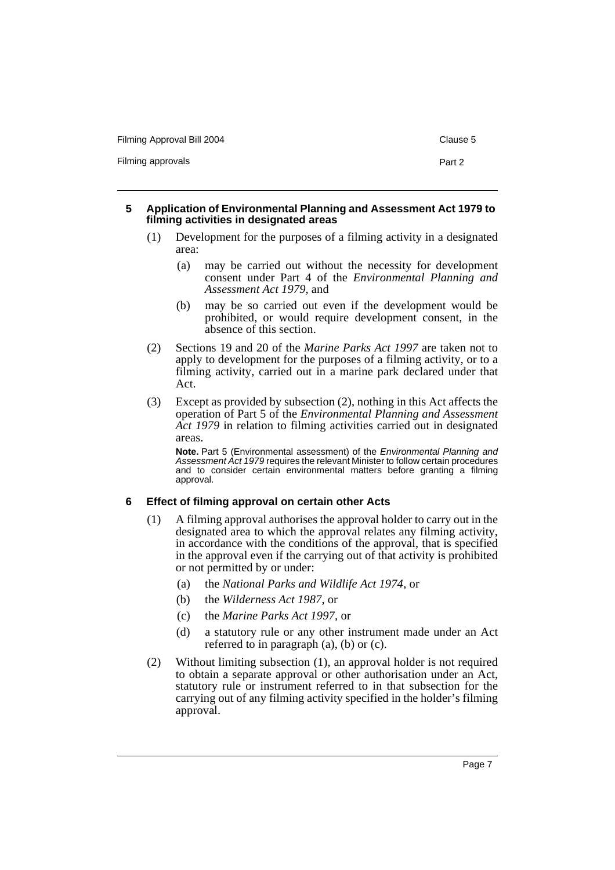Filming approvals **Part 2** 

#### <span id="page-8-0"></span>**5 Application of Environmental Planning and Assessment Act 1979 to filming activities in designated areas**

- (1) Development for the purposes of a filming activity in a designated area:
	- (a) may be carried out without the necessity for development consent under Part 4 of the *Environmental Planning and Assessment Act 1979*, and
	- (b) may be so carried out even if the development would be prohibited, or would require development consent, in the absence of this section.
- (2) Sections 19 and 20 of the *Marine Parks Act 1997* are taken not to apply to development for the purposes of a filming activity, or to a filming activity, carried out in a marine park declared under that Act.
- (3) Except as provided by subsection (2), nothing in this Act affects the operation of Part 5 of the *Environmental Planning and Assessment Act 1979* in relation to filming activities carried out in designated areas.

**Note.** Part 5 (Environmental assessment) of the *Environmental Planning and Assessment Act 1979* requires the relevant Minister to follow certain procedures and to consider certain environmental matters before granting a filming approval.

## <span id="page-8-1"></span>**6 Effect of filming approval on certain other Acts**

- (1) A filming approval authorises the approval holder to carry out in the designated area to which the approval relates any filming activity, in accordance with the conditions of the approval, that is specified in the approval even if the carrying out of that activity is prohibited or not permitted by or under:
	- (a) the *National Parks and Wildlife Act 1974*, or
	- (b) the *Wilderness Act 1987*, or
	- (c) the *Marine Parks Act 1997*, or
	- (d) a statutory rule or any other instrument made under an Act referred to in paragraph (a), (b) or (c).
- (2) Without limiting subsection (1), an approval holder is not required to obtain a separate approval or other authorisation under an Act, statutory rule or instrument referred to in that subsection for the carrying out of any filming activity specified in the holder's filming approval.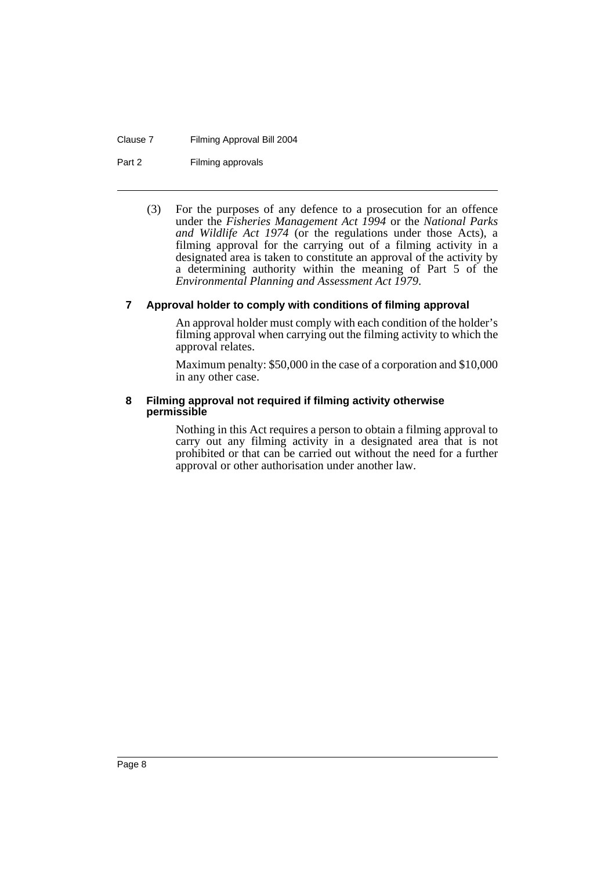#### Clause 7 Filming Approval Bill 2004

Part 2 Filming approvals

(3) For the purposes of any defence to a prosecution for an offence under the *Fisheries Management Act 1994* or the *National Parks and Wildlife Act 1974* (or the regulations under those Acts), a filming approval for the carrying out of a filming activity in a designated area is taken to constitute an approval of the activity by a determining authority within the meaning of Part 5 of the *Environmental Planning and Assessment Act 1979*.

# <span id="page-9-0"></span>**7 Approval holder to comply with conditions of filming approval**

An approval holder must comply with each condition of the holder's filming approval when carrying out the filming activity to which the approval relates.

Maximum penalty: \$50,000 in the case of a corporation and \$10,000 in any other case.

#### <span id="page-9-1"></span>**8 Filming approval not required if filming activity otherwise permissible**

Nothing in this Act requires a person to obtain a filming approval to carry out any filming activity in a designated area that is not prohibited or that can be carried out without the need for a further approval or other authorisation under another law.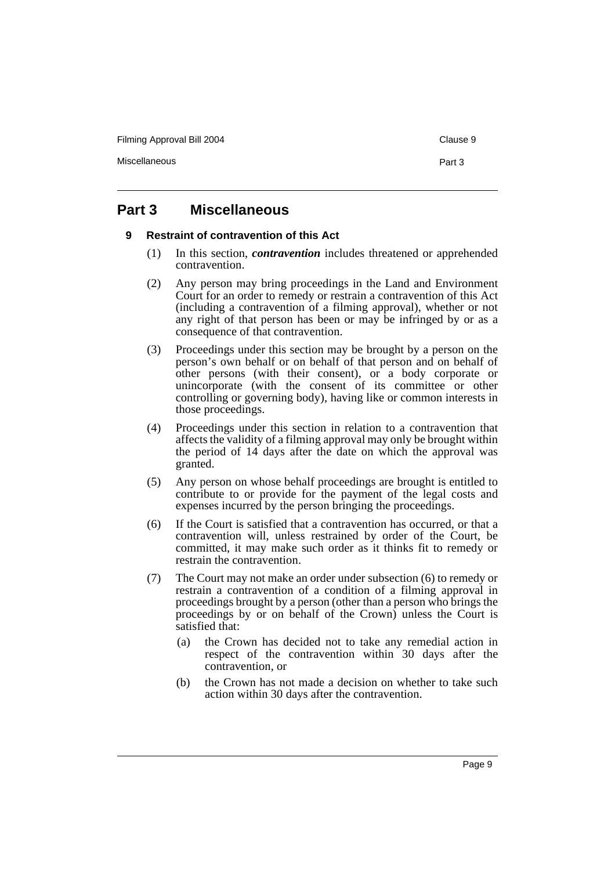Miscellaneous **Part 3** 

# <span id="page-10-1"></span><span id="page-10-0"></span>**Part 3 Miscellaneous**

## **9 Restraint of contravention of this Act**

- (1) In this section, *contravention* includes threatened or apprehended contravention.
- (2) Any person may bring proceedings in the Land and Environment Court for an order to remedy or restrain a contravention of this Act (including a contravention of a filming approval), whether or not any right of that person has been or may be infringed by or as a consequence of that contravention.
- (3) Proceedings under this section may be brought by a person on the person's own behalf or on behalf of that person and on behalf of other persons (with their consent), or a body corporate or unincorporate (with the consent of its committee or other controlling or governing body), having like or common interests in those proceedings.
- (4) Proceedings under this section in relation to a contravention that affects the validity of a filming approval may only be brought within the period of 14 days after the date on which the approval was granted.
- (5) Any person on whose behalf proceedings are brought is entitled to contribute to or provide for the payment of the legal costs and expenses incurred by the person bringing the proceedings.
- (6) If the Court is satisfied that a contravention has occurred, or that a contravention will, unless restrained by order of the Court, be committed, it may make such order as it thinks fit to remedy or restrain the contravention.
- (7) The Court may not make an order under subsection (6) to remedy or restrain a contravention of a condition of a filming approval in proceedings brought by a person (other than a person who brings the proceedings by or on behalf of the Crown) unless the Court is satisfied that:
	- (a) the Crown has decided not to take any remedial action in respect of the contravention within 30 days after the contravention, or
	- (b) the Crown has not made a decision on whether to take such action within 30 days after the contravention.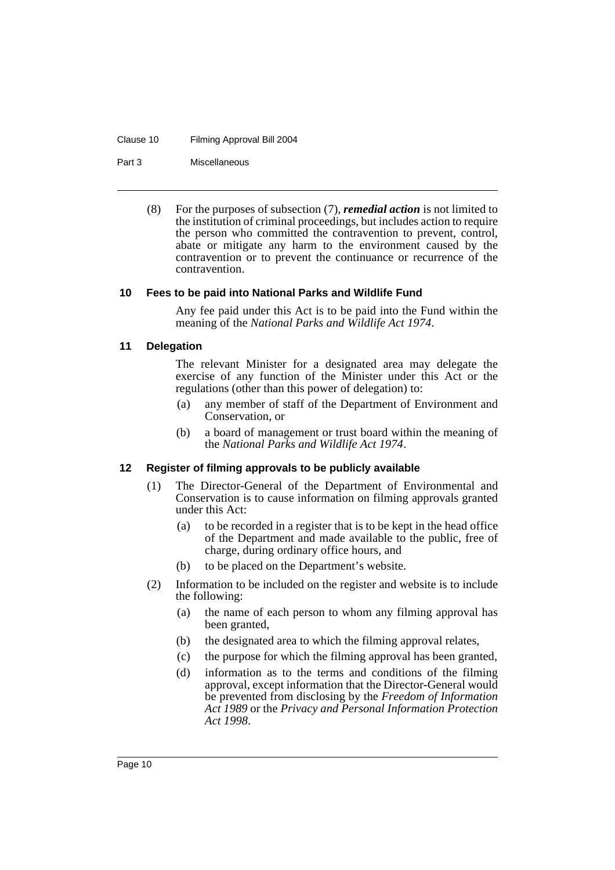#### Clause 10 Filming Approval Bill 2004

Part 3 Miscellaneous

(8) For the purposes of subsection (7), *remedial action* is not limited to the institution of criminal proceedings, but includes action to require the person who committed the contravention to prevent, control, abate or mitigate any harm to the environment caused by the contravention or to prevent the continuance or recurrence of the contravention.

#### <span id="page-11-0"></span>**10 Fees to be paid into National Parks and Wildlife Fund**

Any fee paid under this Act is to be paid into the Fund within the meaning of the *National Parks and Wildlife Act 1974*.

#### <span id="page-11-1"></span>**11 Delegation**

The relevant Minister for a designated area may delegate the exercise of any function of the Minister under this Act or the regulations (other than this power of delegation) to:

- (a) any member of staff of the Department of Environment and Conservation, or
- (b) a board of management or trust board within the meaning of the *National Parks and Wildlife Act 1974*.

## <span id="page-11-2"></span>**12 Register of filming approvals to be publicly available**

- (1) The Director-General of the Department of Environmental and Conservation is to cause information on filming approvals granted under this Act:
	- (a) to be recorded in a register that is to be kept in the head office of the Department and made available to the public, free of charge, during ordinary office hours, and
	- (b) to be placed on the Department's website.
- (2) Information to be included on the register and website is to include the following:
	- (a) the name of each person to whom any filming approval has been granted,
	- (b) the designated area to which the filming approval relates,
	- (c) the purpose for which the filming approval has been granted,
	- (d) information as to the terms and conditions of the filming approval, except information that the Director-General would be prevented from disclosing by the *Freedom of Information Act 1989* or the *Privacy and Personal Information Protection Act 1998*.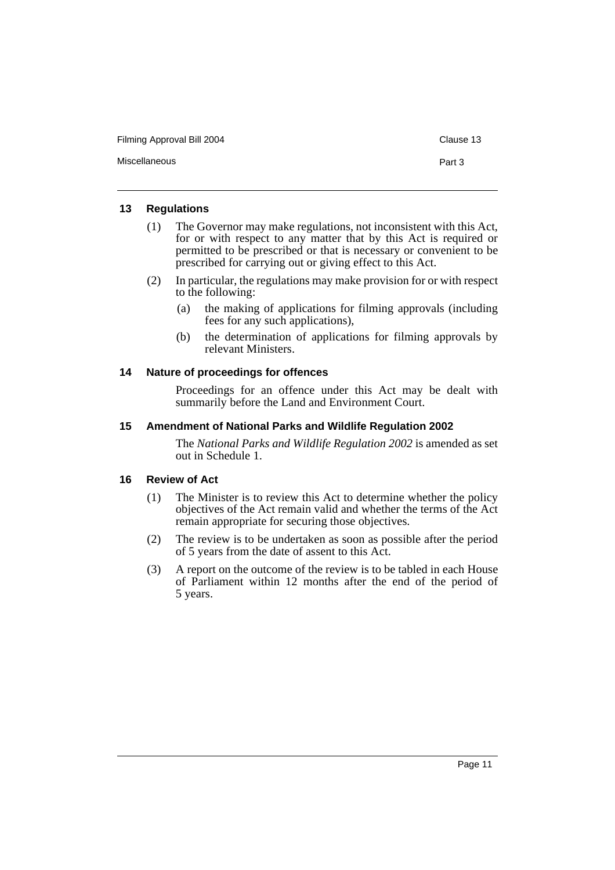Miscellaneous **Part 3** 

#### <span id="page-12-0"></span>**13 Regulations**

- (1) The Governor may make regulations, not inconsistent with this Act, for or with respect to any matter that by this Act is required or permitted to be prescribed or that is necessary or convenient to be prescribed for carrying out or giving effect to this Act.
- (2) In particular, the regulations may make provision for or with respect to the following:
	- (a) the making of applications for filming approvals (including fees for any such applications),
	- (b) the determination of applications for filming approvals by relevant Ministers.

## <span id="page-12-1"></span>**14 Nature of proceedings for offences**

Proceedings for an offence under this Act may be dealt with summarily before the Land and Environment Court.

#### <span id="page-12-2"></span>**15 Amendment of National Parks and Wildlife Regulation 2002**

The *National Parks and Wildlife Regulation 2002* is amended as set out in Schedule 1.

## <span id="page-12-3"></span>**16 Review of Act**

- (1) The Minister is to review this Act to determine whether the policy objectives of the Act remain valid and whether the terms of the Act remain appropriate for securing those objectives.
- (2) The review is to be undertaken as soon as possible after the period of 5 years from the date of assent to this Act.
- (3) A report on the outcome of the review is to be tabled in each House of Parliament within 12 months after the end of the period of 5 years.